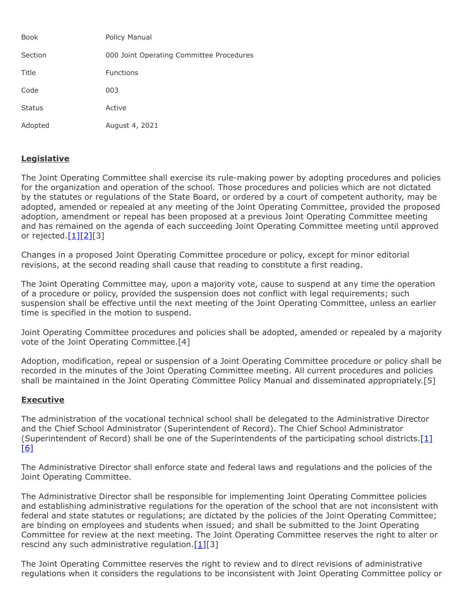| <b>Book</b>   | Policy Manual                            |
|---------------|------------------------------------------|
| Section       | 000 Joint Operating Committee Procedures |
| Title         | <b>Functions</b>                         |
| Code          | 003                                      |
| <b>Status</b> | Active                                   |
| Adopted       | August 4, 2021                           |

## **Legislative**

The Joint Operating Committee shall exercise its rule-making power by adopting procedures and policies for the organization and operation of the school. Those procedures and policies which are not dictated by the statutes or regulations of the State Board, or ordered by a court of competent authority, may be adopted, amended or repealed at any meeting of the Joint Operating Committee, provided the proposed adoption, amendment or repeal has been proposed at a previous Joint Operating Committee meeting and has remained on the agenda of each succeeding Joint Operating Committee meeting until approved or rejected. $[1][2][3]$  $[1][2][3]$  $[1][2][3]$ 

Changes in a proposed Joint Operating Committee procedure or policy, except for minor editorial revisions, at the second reading shall cause that reading to constitute a first reading.

The Joint Operating Committee may, upon a majority vote, cause to suspend at any time the operation of a procedure or policy, provided the suspension does not conflict with legal requirements; such suspension shall be effective until the next meeting of the Joint Operating Committee, unless an earlier time is specified in the motion to suspend.

Joint Operating Committee procedures and policies shall be adopted, amended or repealed by a majority vote of the Joint Operating Committee.[4]

Adoption, modification, repeal or suspension of a Joint Operating Committee procedure or policy shall be recorded in the minutes of the Joint Operating Committee meeting. All current procedures and policies shall be maintained in the Joint Operating Committee Policy Manual and disseminated appropriately.[5]

## **Executive**

The administration of the vocational technical school shall be delegated to the Administrative Director and the Chief School Administrator (Superintendent of Record). The Chief School Administrator (Superintendent of Record) shall be one of the Superintendents of the participating school districts.[\[1\]](http://www.legis.state.pa.us/cfdocs/legis/LI/uconsCheck.cfm?txtType=HTM&yr=1949&sessInd=0&smthLwInd=0&act=14&chpt=18&sctn=50&subsctn=1) [\[6\]](http://pacodeandbulletin.gov/Display/pacode?file=/secure/pacode/data/022/chapter339/s339.41.html&d=reduce)

The Administrative Director shall enforce state and federal laws and regulations and the policies of the Joint Operating Committee.

The Administrative Director shall be responsible for implementing Joint Operating Committee policies and establishing administrative regulations for the operation of the school that are not inconsistent with federal and state statutes or regulations; are dictated by the policies of the Joint Operating Committee; are binding on employees and students when issued; and shall be submitted to the Joint Operating Committee for review at the next meeting. The Joint Operating Committee reserves the right to alter or rescind any such administrative regulation.  $[1][3]$  $[1][3]$ 

The Joint Operating Committee reserves the right to review and to direct revisions of administrative regulations when it considers the regulations to be inconsistent with Joint Operating Committee policy or